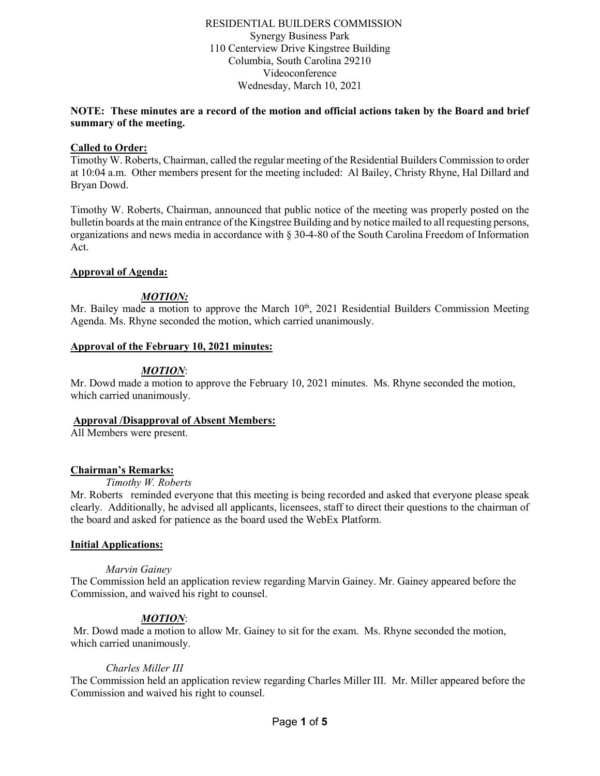### RESIDENTIAL BUILDERS COMMISSION Synergy Business Park 110 Centerview Drive Kingstree Building Columbia, South Carolina 29210 Videoconference Wednesday, March 10, 2021

### **NOTE: These minutes are a record of the motion and official actions taken by the Board and brief summary of the meeting.**

### **Called to Order:**

Timothy W. Roberts, Chairman, called the regular meeting of the Residential Builders Commission to order at 10:04 a.m. Other members present for the meeting included: Al Bailey, Christy Rhyne, Hal Dillard and Bryan Dowd.

Timothy W. Roberts, Chairman, announced that public notice of the meeting was properly posted on the bulletin boards at the main entrance of the Kingstree Building and by notice mailed to all requesting persons, organizations and news media in accordance with § 30-4-80 of the South Carolina Freedom of Information Act.

### **Approval of Agenda:**

# *MOTION:*

Mr. Bailey made a motion to approve the March 10<sup>th</sup>, 2021 Residential Builders Commission Meeting Agenda. Ms. Rhyne seconded the motion, which carried unanimously.

### **Approval of the February 10, 2021 minutes:**

## *MOTION*:

Mr. Dowd made a motion to approve the February 10, 2021 minutes. Ms. Rhyne seconded the motion, which carried unanimously.

### **Approval /Disapproval of Absent Members:**

All Members were present.

#### **Chairman's Remarks:**

*Timothy W. Roberts*

Mr. Roberts reminded everyone that this meeting is being recorded and asked that everyone please speak clearly. Additionally, he advised all applicants, licensees, staff to direct their questions to the chairman of the board and asked for patience as the board used the WebEx Platform.

### **Initial Applications:**

#### *Marvin Gainey*

The Commission held an application review regarding Marvin Gainey. Mr. Gainey appeared before the Commission, and waived his right to counsel.

## *MOTION*:

Mr. Dowd made a motion to allow Mr. Gainey to sit for the exam. Ms. Rhyne seconded the motion, which carried unanimously.

#### *Charles Miller III*

The Commission held an application review regarding Charles Miller III. Mr. Miller appeared before the Commission and waived his right to counsel.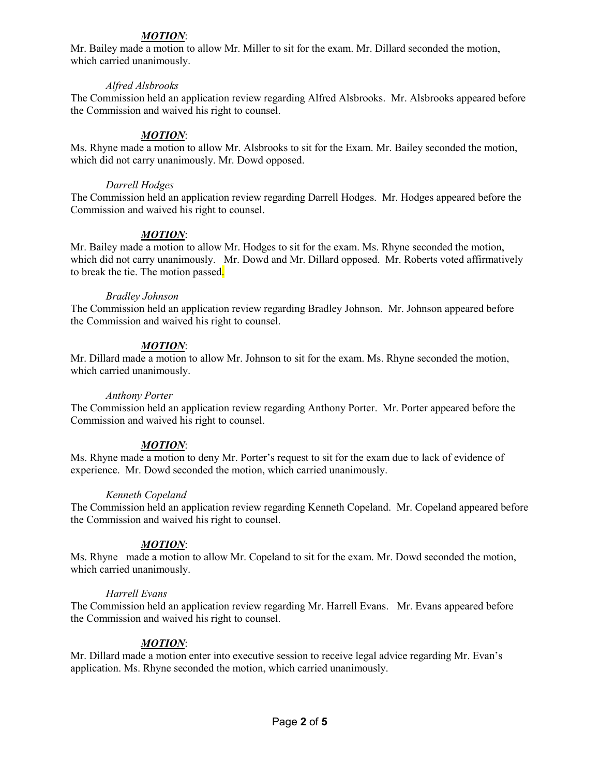# *MOTION*:

Mr. Bailey made a motion to allow Mr. Miller to sit for the exam. Mr. Dillard seconded the motion, which carried unanimously.

### *Alfred Alsbrooks*

The Commission held an application review regarding Alfred Alsbrooks. Mr. Alsbrooks appeared before the Commission and waived his right to counsel.

# *MOTION*:

Ms. Rhyne made a motion to allow Mr. Alsbrooks to sit for the Exam. Mr. Bailey seconded the motion, which did not carry unanimously. Mr. Dowd opposed.

### *Darrell Hodges*

The Commission held an application review regarding Darrell Hodges. Mr. Hodges appeared before the Commission and waived his right to counsel.

## *MOTION*:

Mr. Bailey made a motion to allow Mr. Hodges to sit for the exam. Ms. Rhyne seconded the motion, which did not carry unanimously. Mr. Dowd and Mr. Dillard opposed. Mr. Roberts voted affirmatively to break the tie. The motion passed.

### *Bradley Johnson*

The Commission held an application review regarding Bradley Johnson. Mr. Johnson appeared before the Commission and waived his right to counsel.

## *MOTION*:

Mr. Dillard made a motion to allow Mr. Johnson to sit for the exam. Ms. Rhyne seconded the motion, which carried unanimously.

## *Anthony Porter*

The Commission held an application review regarding Anthony Porter. Mr. Porter appeared before the Commission and waived his right to counsel.

## *MOTION*:

Ms. Rhyne made a motion to deny Mr. Porter's request to sit for the exam due to lack of evidence of experience. Mr. Dowd seconded the motion, which carried unanimously.

## *Kenneth Copeland*

The Commission held an application review regarding Kenneth Copeland. Mr. Copeland appeared before the Commission and waived his right to counsel.

## *MOTION*:

Ms. Rhyne made a motion to allow Mr. Copeland to sit for the exam. Mr. Dowd seconded the motion, which carried unanimously.

## *Harrell Evans*

The Commission held an application review regarding Mr. Harrell Evans. Mr. Evans appeared before the Commission and waived his right to counsel.

## *MOTION*:

Mr. Dillard made a motion enter into executive session to receive legal advice regarding Mr. Evan's application. Ms. Rhyne seconded the motion, which carried unanimously.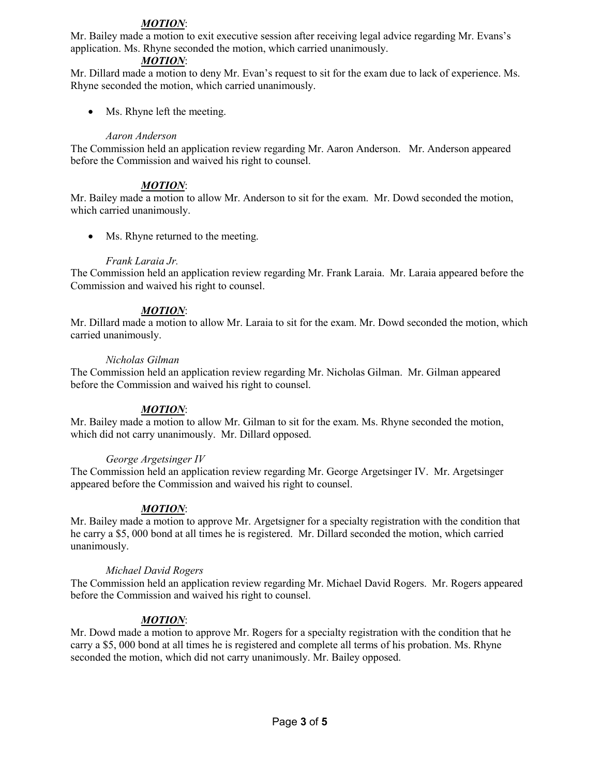# *MOTION*:

Mr. Bailey made a motion to exit executive session after receiving legal advice regarding Mr. Evans's application. Ms. Rhyne seconded the motion, which carried unanimously.

### *MOTION*:

Mr. Dillard made a motion to deny Mr. Evan's request to sit for the exam due to lack of experience. Ms. Rhyne seconded the motion, which carried unanimously.

• Ms. Rhyne left the meeting.

### *Aaron Anderson*

The Commission held an application review regarding Mr. Aaron Anderson. Mr. Anderson appeared before the Commission and waived his right to counsel.

## *MOTION*:

Mr. Bailey made a motion to allow Mr. Anderson to sit for the exam. Mr. Dowd seconded the motion, which carried unanimously.

• Ms. Rhyne returned to the meeting.

### *Frank Laraia Jr.*

The Commission held an application review regarding Mr. Frank Laraia. Mr. Laraia appeared before the Commission and waived his right to counsel.

### *MOTION*:

Mr. Dillard made a motion to allow Mr. Laraia to sit for the exam. Mr. Dowd seconded the motion, which carried unanimously.

#### *Nicholas Gilman*

The Commission held an application review regarding Mr. Nicholas Gilman. Mr. Gilman appeared before the Commission and waived his right to counsel.

## *MOTION*:

Mr. Bailey made a motion to allow Mr. Gilman to sit for the exam. Ms. Rhyne seconded the motion, which did not carry unanimously. Mr. Dillard opposed.

#### *George Argetsinger IV*

The Commission held an application review regarding Mr. George Argetsinger IV. Mr. Argetsinger appeared before the Commission and waived his right to counsel.

## *MOTION*:

Mr. Bailey made a motion to approve Mr. Argetsigner for a specialty registration with the condition that he carry a \$5, 000 bond at all times he is registered. Mr. Dillard seconded the motion, which carried unanimously.

#### *Michael David Rogers*

The Commission held an application review regarding Mr. Michael David Rogers. Mr. Rogers appeared before the Commission and waived his right to counsel.

#### *MOTION*:

Mr. Dowd made a motion to approve Mr. Rogers for a specialty registration with the condition that he carry a \$5, 000 bond at all times he is registered and complete all terms of his probation. Ms. Rhyne seconded the motion, which did not carry unanimously. Mr. Bailey opposed.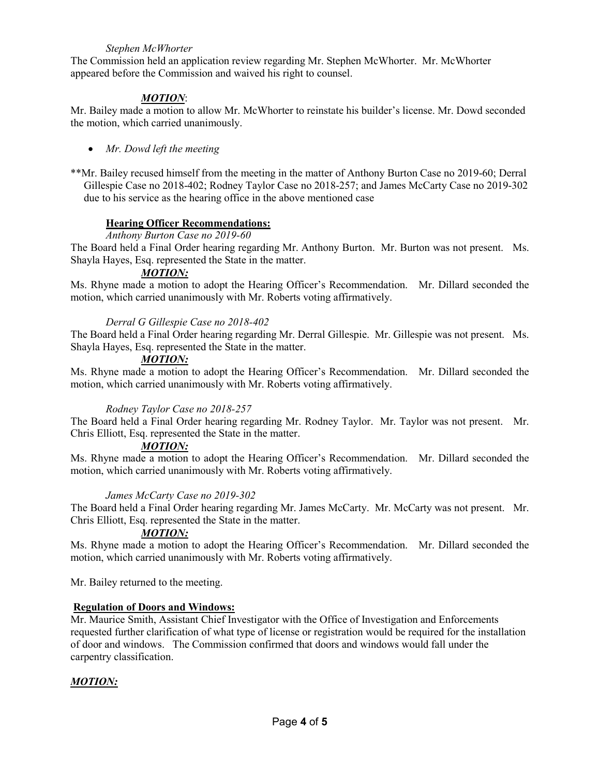### *Stephen McWhorter*

The Commission held an application review regarding Mr. Stephen McWhorter. Mr. McWhorter appeared before the Commission and waived his right to counsel.

# *MOTION*:

Mr. Bailey made a motion to allow Mr. McWhorter to reinstate his builder's license. Mr. Dowd seconded the motion, which carried unanimously.

• *Mr. Dowd left the meeting* 

\*\*Mr. Bailey recused himself from the meeting in the matter of Anthony Burton Case no 2019-60; Derral Gillespie Case no 2018-402; Rodney Taylor Case no 2018-257; and James McCarty Case no 2019-302 due to his service as the hearing office in the above mentioned case

### **Hearing Officer Recommendations:**

*Anthony Burton Case no 2019-60*

The Board held a Final Order hearing regarding Mr. Anthony Burton. Mr. Burton was not present. Ms. Shayla Hayes, Esq. represented the State in the matter.

### *MOTION:*

Ms. Rhyne made a motion to adopt the Hearing Officer's Recommendation. Mr. Dillard seconded the motion, which carried unanimously with Mr. Roberts voting affirmatively.

### *Derral G Gillespie Case no 2018-402*

The Board held a Final Order hearing regarding Mr. Derral Gillespie. Mr. Gillespie was not present. Ms. Shayla Hayes, Esq. represented the State in the matter.

## *MOTION:*

Ms. Rhyne made a motion to adopt the Hearing Officer's Recommendation. Mr. Dillard seconded the motion, which carried unanimously with Mr. Roberts voting affirmatively.

#### *Rodney Taylor Case no 2018-257*

The Board held a Final Order hearing regarding Mr. Rodney Taylor. Mr. Taylor was not present. Mr. Chris Elliott, Esq. represented the State in the matter.

#### *MOTION:*

Ms. Rhyne made a motion to adopt the Hearing Officer's Recommendation. Mr. Dillard seconded the motion, which carried unanimously with Mr. Roberts voting affirmatively.

#### *James McCarty Case no 2019-302*

The Board held a Final Order hearing regarding Mr. James McCarty. Mr. McCarty was not present. Mr. Chris Elliott, Esq. represented the State in the matter.

#### *MOTION:*

Ms. Rhyne made a motion to adopt the Hearing Officer's Recommendation. Mr. Dillard seconded the motion, which carried unanimously with Mr. Roberts voting affirmatively.

Mr. Bailey returned to the meeting.

#### **Regulation of Doors and Windows:**

Mr. Maurice Smith, Assistant Chief Investigator with the Office of Investigation and Enforcements requested further clarification of what type of license or registration would be required for the installation of door and windows. The Commission confirmed that doors and windows would fall under the carpentry classification.

## *MOTION:*